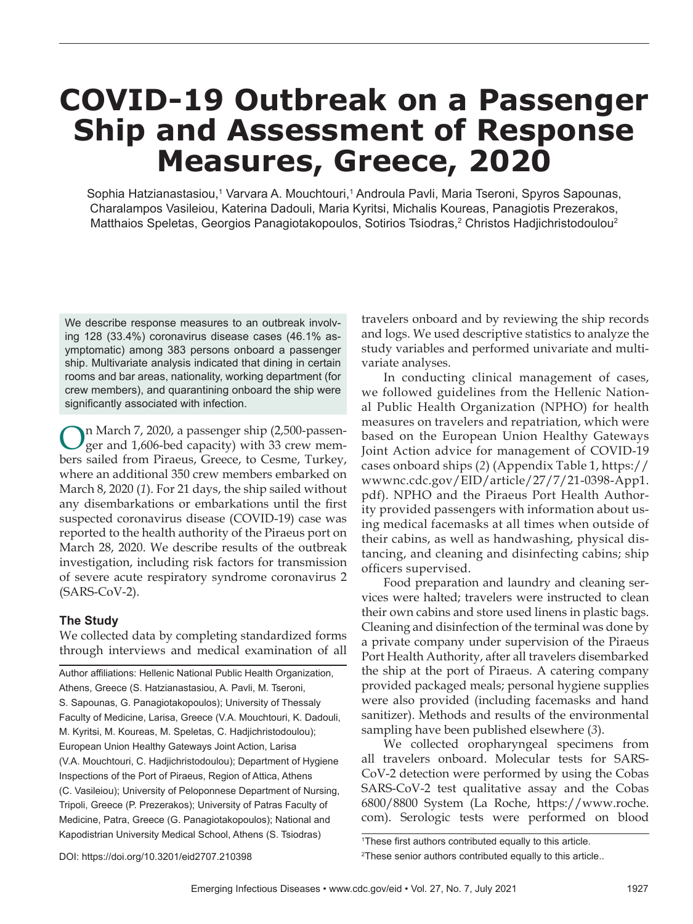# **COVID-19 Outbreak on a Passenger Ship and Assessment of Response Measures, Greece, 2020**

Sophia Hatzianastasiou,1 Varvara A. Mouchtouri,1 Androula Pavli, Maria Tseroni, Spyros Sapounas, Charalampos Vasileiou, Katerina Dadouli, Maria Kyritsi, Michalis Koureas, Panagiotis Prezerakos, Matthaios Speletas, Georgios Panagiotakopoulos, Sotirios Tsiodras, $^{\rm 2}$  Christos Hadjichristodoulou $^{\rm 2}$ 

We describe response measures to an outbreak involving 128 (33.4%) coronavirus disease cases (46.1% asymptomatic) among 383 persons onboard a passenger ship. Multivariate analysis indicated that dining in certain rooms and bar areas, nationality, working department (for crew members), and quarantining onboard the ship were significantly associated with infection.

On March 7, 2020, a passenger ship (2,500-passen-ger and 1,606-bed capacity) with 33 crew members sailed from Piraeus, Greece, to Cesme, Turkey, where an additional 350 crew members embarked on March 8, 2020 (*1*). For 21 days, the ship sailed without any disembarkations or embarkations until the first suspected coronavirus disease (COVID-19) case was reported to the health authority of the Piraeus port on March 28, 2020. We describe results of the outbreak investigation, including risk factors for transmission of severe acute respiratory syndrome coronavirus 2 (SARS-CoV-2).

## **The Study**

We collected data by completing standardized forms through interviews and medical examination of all

Author affiliations: Hellenic National Public Health Organization, Athens, Greece (S. Hatzianastasiou, A. Pavli, M. Tseroni, S. Sapounas, G. Panagiotakopoulos); University of Thessaly Faculty of Medicine, Larisa, Greece (V.A. Mouchtouri, K. Dadouli, M. Kyritsi, M. Koureas, M. Speletas, C. Hadjichristodoulou); European Union Healthy Gateways Joint Action, Larisa (V.A. Mouchtouri, C. Hadjichristodoulou); Department of Hygiene Inspections of the Port of Piraeus, Region of Attica, Athens (C. Vasileiou); University of Peloponnese Department of Nursing, Tripoli, Greece (P. Prezerakos); University of Patras Faculty of Medicine, Patra, Greece (G. Panagiotakopoulos); National and Kapodistrian University Medical School, Athens (S. Tsiodras)

travelers onboard and by reviewing the ship records and logs. We used descriptive statistics to analyze the study variables and performed univariate and multivariate analyses.

In conducting clinical management of cases, we followed guidelines from the Hellenic National Public Health Organization (NPHO) for health measures on travelers and repatriation, which were based on the European Union Healthy Gateways Joint Action advice for management of COVID-19 cases onboard ships (*2*) (Appendix Table 1, https:// wwwnc.cdc.gov/EID/article/27/7/21-0398-App1. pdf). NPHO and the Piraeus Port Health Authority provided passengers with information about using medical facemasks at all times when outside of their cabins, as well as handwashing, physical distancing, and cleaning and disinfecting cabins; ship officers supervised.

Food preparation and laundry and cleaning services were halted; travelers were instructed to clean their own cabins and store used linens in plastic bags. Cleaning and disinfection of the terminal was done by a private company under supervision of the Piraeus Port Health Authority, after all travelers disembarked the ship at the port of Piraeus. A catering company provided packaged meals; personal hygiene supplies were also provided (including facemasks and hand sanitizer). Methods and results of the environmental sampling have been published elsewhere (*3*).

We collected oropharyngeal specimens from all travelers onboard. Molecular tests for SARS-CoV-2 detection were performed by using the Cobas SARS-CoV-2 test qualitative assay and the Cobas 6800/8800 System (La Roche, https://www.roche. com). Serologic tests were performed on blood

<sup>&</sup>lt;sup>1</sup>These first authors contributed equally to this article.

<sup>2</sup> These senior authors contributed equally to this article..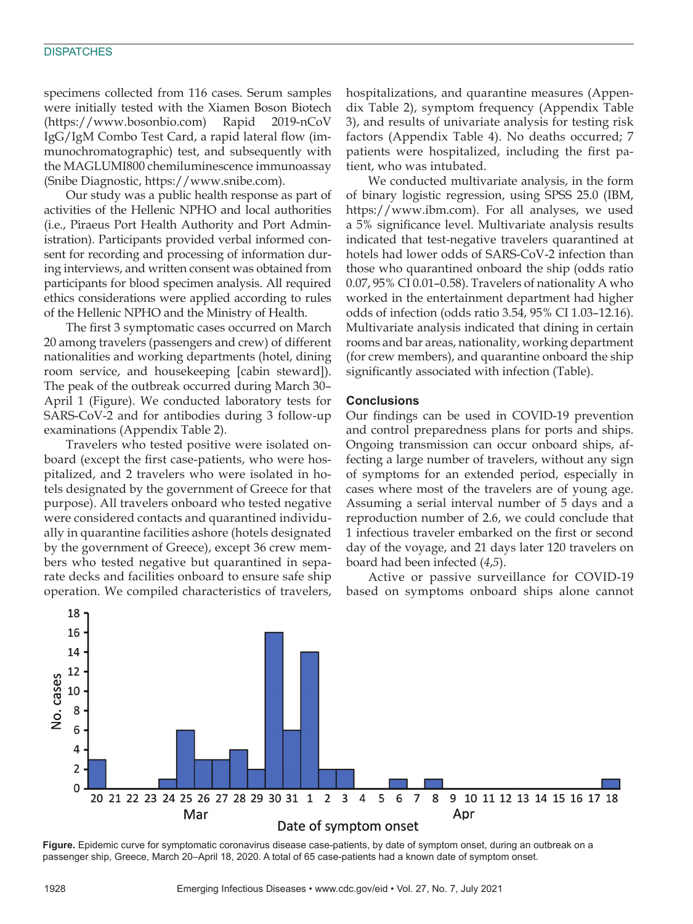#### **DISPATCHES**

specimens collected from 116 cases. Serum samples were initially tested with the Xiamen Boson Biotech (https://www.bosonbio.com) Rapid 2019-nCoV IgG/IgM Combo Test Card, a rapid lateral flow (immunochromatographic) test, and subsequently with the MAGLUMI800 chemiluminescence immunoassay (Snibe Diagnostic, https://www.snibe.com).

Our study was a public health response as part of activities of the Hellenic NPHO and local authorities (i.e., Piraeus Port Health Authority and Port Administration). Participants provided verbal informed consent for recording and processing of information during interviews, and written consent was obtained from participants for blood specimen analysis. All required ethics considerations were applied according to rules of the Hellenic NPHO and the Ministry of Health.

The first 3 symptomatic cases occurred on March 20 among travelers (passengers and crew) of different nationalities and working departments (hotel, dining room service, and housekeeping [cabin steward]). The peak of the outbreak occurred during March 30– April 1 (Figure). We conducted laboratory tests for SARS-CoV-2 and for antibodies during 3 follow-up examinations (Appendix Table 2).

Travelers who tested positive were isolated onboard (except the first case-patients, who were hospitalized, and 2 travelers who were isolated in hotels designated by the government of Greece for that purpose). All travelers onboard who tested negative were considered contacts and quarantined individually in quarantine facilities ashore (hotels designated by the government of Greece), except 36 crew members who tested negative but quarantined in separate decks and facilities onboard to ensure safe ship operation. We compiled characteristics of travelers,

hospitalizations, and quarantine measures (Appendix Table 2), symptom frequency (Appendix Table 3), and results of univariate analysis for testing risk factors (Appendix Table 4). No deaths occurred; 7 patients were hospitalized, including the first patient, who was intubated.

We conducted multivariate analysis, in the form of binary logistic regression, using SPSS 25.0 (IBM, https://www.ibm.com). For all analyses, we used a 5% significance level. Multivariate analysis results indicated that test-negative travelers quarantined at hotels had lower odds of SARS-CoV-2 infection than those who quarantined onboard the ship (odds ratio 0.07, 95% CI 0.01–0.58). Travelers of nationality A who worked in the entertainment department had higher odds of infection (odds ratio 3.54, 95% CI 1.03–12.16). Multivariate analysis indicated that dining in certain rooms and bar areas, nationality, working department (for crew members), and quarantine onboard the ship significantly associated with infection (Table).

## **Conclusions**

Our findings can be used in COVID-19 prevention and control preparedness plans for ports and ships. Ongoing transmission can occur onboard ships, affecting a large number of travelers, without any sign of symptoms for an extended period, especially in cases where most of the travelers are of young age. Assuming a serial interval number of 5 days and a reproduction number of 2.6, we could conclude that 1 infectious traveler embarked on the first or second day of the voyage, and 21 days later 120 travelers on board had been infected (*4*,*5*).

Active or passive surveillance for COVID-19 based on symptoms onboard ships alone cannot



**Figure.** Epidemic curve for symptomatic coronavirus disease case-patients, by date of symptom onset, during an outbreak on a passenger ship, Greece, March 20–April 18, 2020. A total of 65 case-patients had a known date of symptom onset.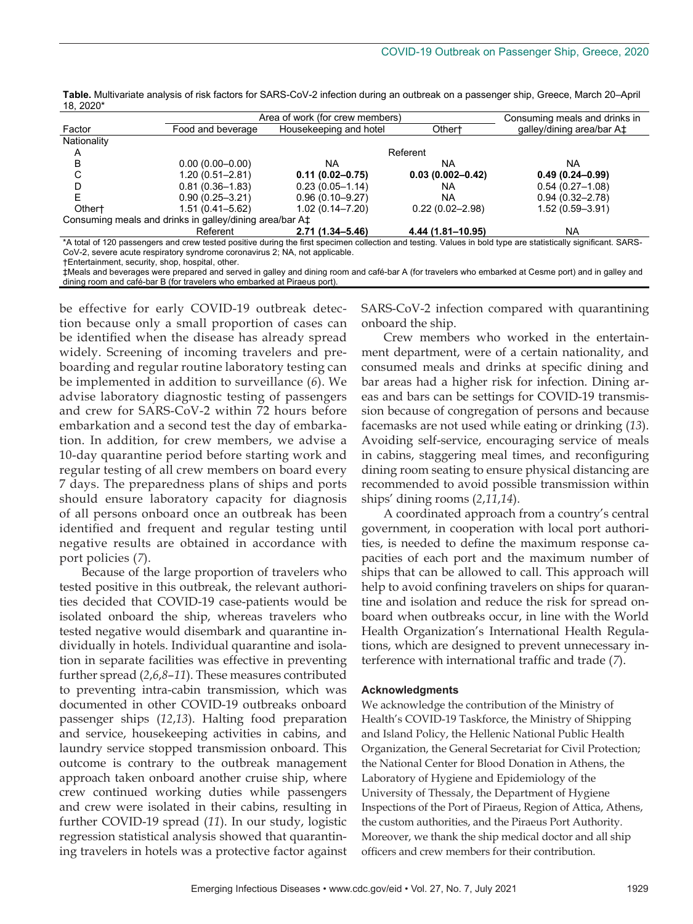|                    | Area of work (for crew members)                                     |                        |                      | Consuming meals and drinks in                                                                                                                                              |  |
|--------------------|---------------------------------------------------------------------|------------------------|----------------------|----------------------------------------------------------------------------------------------------------------------------------------------------------------------------|--|
| Factor             | Food and beverage                                                   | Housekeeping and hotel | Other <sup>+</sup>   | galley/dining area/bar A‡                                                                                                                                                  |  |
| Nationality        |                                                                     |                        |                      |                                                                                                                                                                            |  |
| A                  |                                                                     | Referent               |                      |                                                                                                                                                                            |  |
| в                  | $0.00(0.00 - 0.00)$                                                 | NA                     | NA                   | <b>NA</b>                                                                                                                                                                  |  |
| U                  | $1.20(0.51 - 2.81)$                                                 | $0.11(0.02 - 0.75)$    | $0.03(0.002 - 0.42)$ | $0.49(0.24 - 0.99)$                                                                                                                                                        |  |
|                    | $0.81(0.36 - 1.83)$                                                 | $0.23(0.05 - 1.14)$    | NA                   | $0.54(0.27-1.08)$                                                                                                                                                          |  |
|                    | $0.90(0.25 - 3.21)$                                                 | $0.96(0.10 - 9.27)$    | <b>NA</b>            | $0.94(0.32 - 2.78)$                                                                                                                                                        |  |
| Other <sup>+</sup> | $1.51(0.41 - 5.62)$                                                 | $1.02(0.14 - 7.20)$    | $0.22(0.02 - 2.98)$  | $1.52(0.59 - 3.91)$                                                                                                                                                        |  |
|                    | Consuming meals and drinks in galley/dining area/bar A <sup>+</sup> |                        |                      |                                                                                                                                                                            |  |
|                    | Referent                                                            | 2.71 (1.34–5.46)       | 4.44 (1.81-10.95)    | <b>NA</b>                                                                                                                                                                  |  |
|                    |                                                                     |                        |                      | *A total of 400 processes and constituted profits about a fluid on clience collection and traffice in Alberta Collection and trafficient controlled the constitution of DO |  |

**Table.** Multivariate analysis of risk factors for SARS-CoV-2 infection during an outbreak on a passenger ship, Greece, March 20–April 18, 2020\*

\*A total of 120 passengers and crew tested positive during the first specimen collection and testing. Values in bold type are statistically significant. SARS-CoV-2, severe acute respiratory syndrome coronavirus 2; NA, not applicable.

†Entertainment, security, shop, hospital, other.

‡Meals and beverages were prepared and served in galley and dining room and café-bar A (for travelers who embarked at Cesme port) and in galley and dining room and café-bar B (for travelers who embarked at Piraeus port).

be effective for early COVID-19 outbreak detection because only a small proportion of cases can be identified when the disease has already spread widely. Screening of incoming travelers and preboarding and regular routine laboratory testing can be implemented in addition to surveillance (*6*). We advise laboratory diagnostic testing of passengers and crew for SARS-CoV-2 within 72 hours before embarkation and a second test the day of embarkation. In addition, for crew members, we advise a 10-day quarantine period before starting work and regular testing of all crew members on board every 7 days. The preparedness plans of ships and ports should ensure laboratory capacity for diagnosis of all persons onboard once an outbreak has been identified and frequent and regular testing until negative results are obtained in accordance with port policies (*7*).

Because of the large proportion of travelers who tested positive in this outbreak, the relevant authorities decided that COVID-19 case-patients would be isolated onboard the ship, whereas travelers who tested negative would disembark and quarantine individually in hotels. Individual quarantine and isolation in separate facilities was effective in preventing further spread (*2*,*6*,*8*–*11*). These measures contributed to preventing intra-cabin transmission, which was documented in other COVID-19 outbreaks onboard passenger ships (*12*,*13*). Halting food preparation and service, housekeeping activities in cabins, and laundry service stopped transmission onboard. This outcome is contrary to the outbreak management approach taken onboard another cruise ship, where crew continued working duties while passengers and crew were isolated in their cabins, resulting in further COVID-19 spread (*11*). In our study, logistic regression statistical analysis showed that quarantining travelers in hotels was a protective factor against

SARS-CoV-2 infection compared with quarantining onboard the ship.

Crew members who worked in the entertainment department, were of a certain nationality, and consumed meals and drinks at specific dining and bar areas had a higher risk for infection. Dining areas and bars can be settings for COVID-19 transmission because of congregation of persons and because facemasks are not used while eating or drinking (*13*). Avoiding self-service, encouraging service of meals in cabins, staggering meal times, and reconfiguring dining room seating to ensure physical distancing are recommended to avoid possible transmission within ships' dining rooms (*2*,*11*,*14*).

A coordinated approach from a country's central government, in cooperation with local port authorities, is needed to define the maximum response capacities of each port and the maximum number of ships that can be allowed to call. This approach will help to avoid confining travelers on ships for quarantine and isolation and reduce the risk for spread onboard when outbreaks occur, in line with the World Health Organization's International Health Regulations, which are designed to prevent unnecessary interference with international traffic and trade (*7*).

#### **Acknowledgments**

We acknowledge the contribution of the Ministry of Health's COVID-19 Taskforce, the Ministry of Shipping and Island Policy, the Hellenic National Public Health Organization, the General Secretariat for Civil Protection; the National Center for Blood Donation in Athens, the Laboratory of Hygiene and Epidemiology of the University of Thessaly, the Department of Hygiene Inspections of the Port of Piraeus, Region of Attica, Athens, the custom authorities, and the Piraeus Port Authority. Moreover, we thank the ship medical doctor and all ship officers and crew members for their contribution.